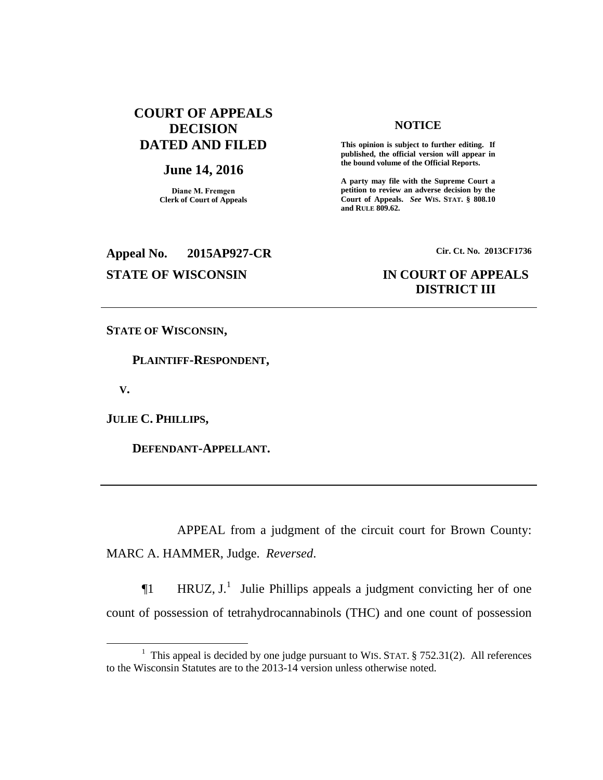# **COURT OF APPEALS DECISION DATED AND FILED**

### **June 14, 2016**

**Diane M. Fremgen Clerk of Court of Appeals**

# **NOTICE**

**This opinion is subject to further editing. If published, the official version will appear in the bound volume of the Official Reports.** 

**A party may file with the Supreme Court a petition to review an adverse decision by the Court of Appeals.** *See* **WIS. STAT. § 808.10 and RULE 809.62.** 

**Appeal No. 2015AP927-CR Cir. Ct. No. 2013CF1736**

# **STATE OF WISCONSIN IN COURT OF APPEALS DISTRICT III**

**STATE OF WISCONSIN,**

 **PLAINTIFF-RESPONDENT,**

 **V.**

 $\overline{a}$ 

**JULIE C. PHILLIPS,**

 **DEFENDANT-APPELLANT.**

APPEAL from a judgment of the circuit court for Brown County: MARC A. HAMMER, Judge. *Reversed*.

 $\P$ 1 HRUZ, J.<sup>1</sup> Julie Phillips appeals a judgment convicting her of one count of possession of tetrahydrocannabinols (THC) and one count of possession

<sup>&</sup>lt;sup>1</sup> This appeal is decided by one judge pursuant to WIS. STAT.  $\S$  752.31(2). All references to the Wisconsin Statutes are to the 2013-14 version unless otherwise noted.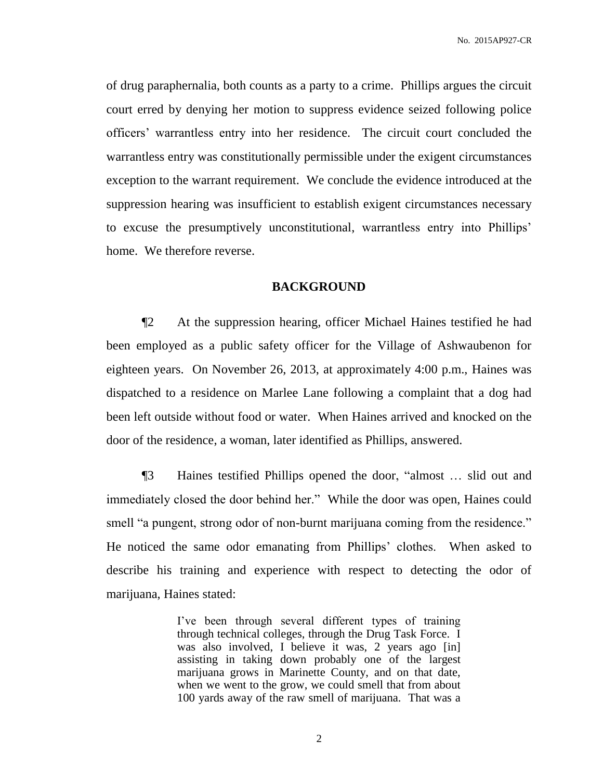of drug paraphernalia, both counts as a party to a crime. Phillips argues the circuit court erred by denying her motion to suppress evidence seized following police officers' warrantless entry into her residence. The circuit court concluded the warrantless entry was constitutionally permissible under the exigent circumstances exception to the warrant requirement. We conclude the evidence introduced at the suppression hearing was insufficient to establish exigent circumstances necessary to excuse the presumptively unconstitutional, warrantless entry into Phillips' home. We therefore reverse.

## **BACKGROUND**

¶2 At the suppression hearing, officer Michael Haines testified he had been employed as a public safety officer for the Village of Ashwaubenon for eighteen years. On November 26, 2013, at approximately 4:00 p.m., Haines was dispatched to a residence on Marlee Lane following a complaint that a dog had been left outside without food or water. When Haines arrived and knocked on the door of the residence, a woman, later identified as Phillips, answered.

¶3 Haines testified Phillips opened the door, "almost … slid out and immediately closed the door behind her." While the door was open, Haines could smell "a pungent, strong odor of non-burnt marijuana coming from the residence." He noticed the same odor emanating from Phillips' clothes. When asked to describe his training and experience with respect to detecting the odor of marijuana, Haines stated:

> I've been through several different types of training through technical colleges, through the Drug Task Force. I was also involved, I believe it was, 2 years ago [in] assisting in taking down probably one of the largest marijuana grows in Marinette County, and on that date, when we went to the grow, we could smell that from about 100 yards away of the raw smell of marijuana. That was a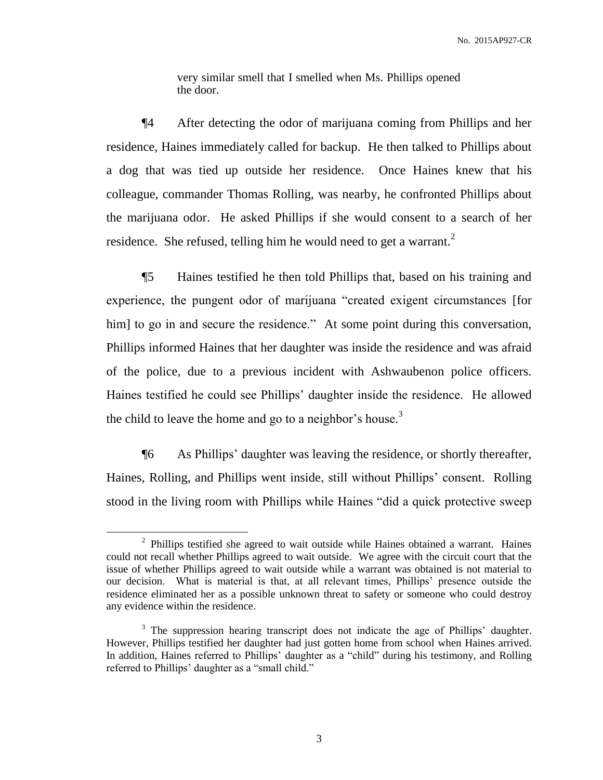very similar smell that I smelled when Ms. Phillips opened the door.

¶4 After detecting the odor of marijuana coming from Phillips and her residence, Haines immediately called for backup. He then talked to Phillips about a dog that was tied up outside her residence. Once Haines knew that his colleague, commander Thomas Rolling, was nearby, he confronted Phillips about the marijuana odor. He asked Phillips if she would consent to a search of her residence. She refused, telling him he would need to get a warrant.<sup>2</sup>

¶5 Haines testified he then told Phillips that, based on his training and experience, the pungent odor of marijuana "created exigent circumstances [for him] to go in and secure the residence." At some point during this conversation, Phillips informed Haines that her daughter was inside the residence and was afraid of the police, due to a previous incident with Ashwaubenon police officers. Haines testified he could see Phillips' daughter inside the residence. He allowed the child to leave the home and go to a neighbor's house.<sup>3</sup>

¶6 As Phillips' daughter was leaving the residence, or shortly thereafter, Haines, Rolling, and Phillips went inside, still without Phillips' consent. Rolling stood in the living room with Phillips while Haines "did a quick protective sweep

<sup>&</sup>lt;sup>2</sup> Phillips testified she agreed to wait outside while Haines obtained a warrant. Haines could not recall whether Phillips agreed to wait outside. We agree with the circuit court that the issue of whether Phillips agreed to wait outside while a warrant was obtained is not material to our decision. What is material is that, at all relevant times, Phillips' presence outside the residence eliminated her as a possible unknown threat to safety or someone who could destroy any evidence within the residence.

<sup>&</sup>lt;sup>3</sup> The suppression hearing transcript does not indicate the age of Phillips' daughter. However, Phillips testified her daughter had just gotten home from school when Haines arrived. In addition, Haines referred to Phillips' daughter as a "child" during his testimony, and Rolling referred to Phillips' daughter as a "small child."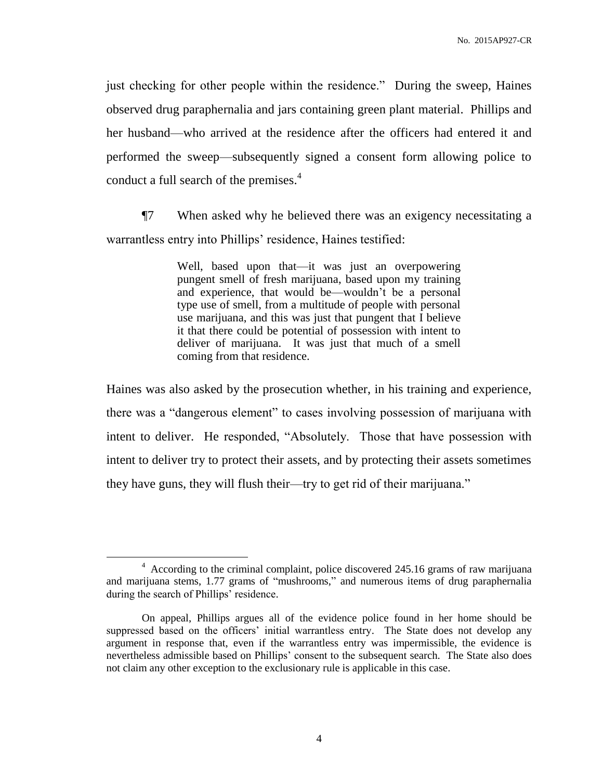just checking for other people within the residence." During the sweep, Haines observed drug paraphernalia and jars containing green plant material. Phillips and her husband—who arrived at the residence after the officers had entered it and performed the sweep—subsequently signed a consent form allowing police to conduct a full search of the premises. 4

¶7 When asked why he believed there was an exigency necessitating a warrantless entry into Phillips' residence, Haines testified:

> Well, based upon that—it was just an overpowering pungent smell of fresh marijuana, based upon my training and experience, that would be—wouldn't be a personal type use of smell, from a multitude of people with personal use marijuana, and this was just that pungent that I believe it that there could be potential of possession with intent to deliver of marijuana. It was just that much of a smell coming from that residence.

Haines was also asked by the prosecution whether, in his training and experience, there was a "dangerous element" to cases involving possession of marijuana with intent to deliver. He responded, "Absolutely. Those that have possession with intent to deliver try to protect their assets, and by protecting their assets sometimes they have guns, they will flush their—try to get rid of their marijuana."

<sup>&</sup>lt;sup>4</sup> According to the criminal complaint, police discovered 245.16 grams of raw marijuana and marijuana stems, 1.77 grams of "mushrooms," and numerous items of drug paraphernalia during the search of Phillips' residence.

On appeal, Phillips argues all of the evidence police found in her home should be suppressed based on the officers' initial warrantless entry. The State does not develop any argument in response that, even if the warrantless entry was impermissible, the evidence is nevertheless admissible based on Phillips' consent to the subsequent search. The State also does not claim any other exception to the exclusionary rule is applicable in this case.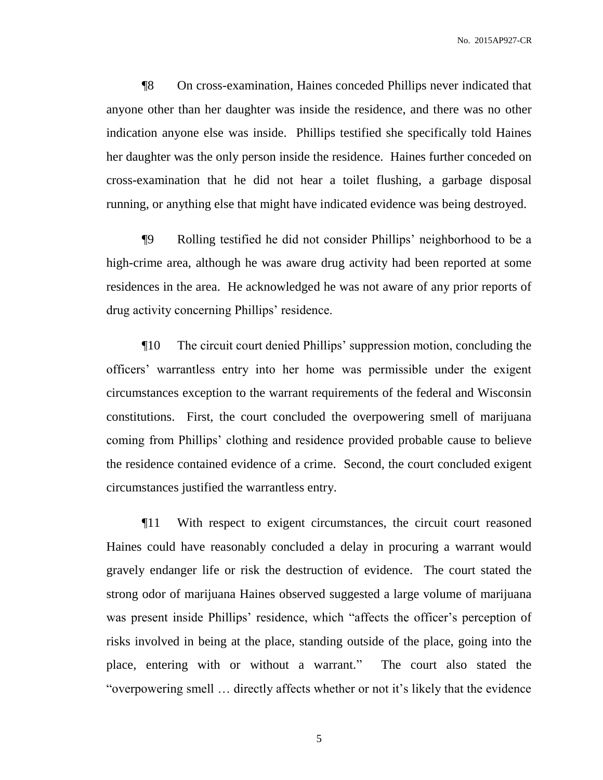¶8 On cross-examination, Haines conceded Phillips never indicated that anyone other than her daughter was inside the residence, and there was no other indication anyone else was inside. Phillips testified she specifically told Haines her daughter was the only person inside the residence. Haines further conceded on cross-examination that he did not hear a toilet flushing, a garbage disposal running, or anything else that might have indicated evidence was being destroyed.

¶9 Rolling testified he did not consider Phillips' neighborhood to be a high-crime area, although he was aware drug activity had been reported at some residences in the area. He acknowledged he was not aware of any prior reports of drug activity concerning Phillips' residence.

¶10 The circuit court denied Phillips' suppression motion, concluding the officers' warrantless entry into her home was permissible under the exigent circumstances exception to the warrant requirements of the federal and Wisconsin constitutions. First, the court concluded the overpowering smell of marijuana coming from Phillips' clothing and residence provided probable cause to believe the residence contained evidence of a crime. Second, the court concluded exigent circumstances justified the warrantless entry.

¶11 With respect to exigent circumstances, the circuit court reasoned Haines could have reasonably concluded a delay in procuring a warrant would gravely endanger life or risk the destruction of evidence. The court stated the strong odor of marijuana Haines observed suggested a large volume of marijuana was present inside Phillips' residence, which "affects the officer's perception of risks involved in being at the place, standing outside of the place, going into the place, entering with or without a warrant." The court also stated the "overpowering smell … directly affects whether or not it's likely that the evidence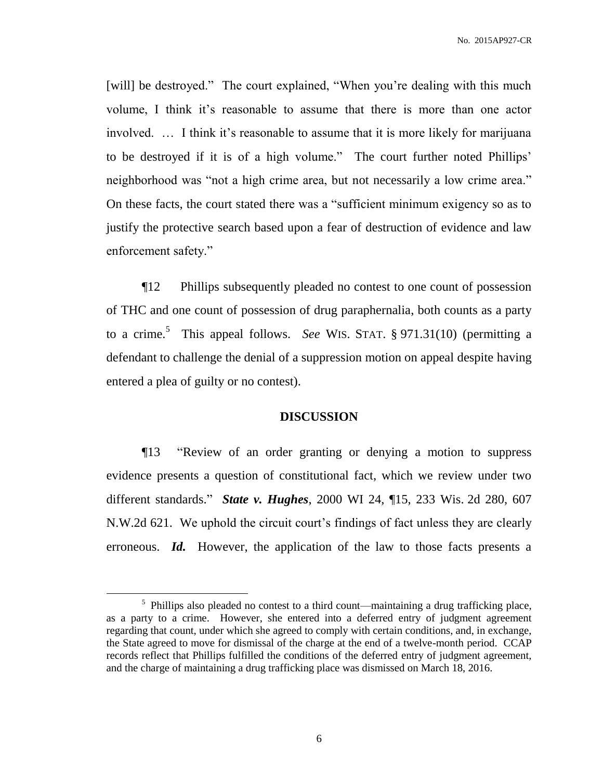[will] be destroyed." The court explained, "When you're dealing with this much volume, I think it's reasonable to assume that there is more than one actor involved. … I think it's reasonable to assume that it is more likely for marijuana to be destroyed if it is of a high volume." The court further noted Phillips' neighborhood was "not a high crime area, but not necessarily a low crime area." On these facts, the court stated there was a "sufficient minimum exigency so as to justify the protective search based upon a fear of destruction of evidence and law enforcement safety."

¶12 Phillips subsequently pleaded no contest to one count of possession of THC and one count of possession of drug paraphernalia, both counts as a party to a crime.<sup>5</sup> This appeal follows. *See* WIS. STAT. § 971.31(10) (permitting a defendant to challenge the denial of a suppression motion on appeal despite having entered a plea of guilty or no contest).

## **DISCUSSION**

¶13 "Review of an order granting or denying a motion to suppress evidence presents a question of constitutional fact, which we review under two different standards." *State v. Hughes*, 2000 WI 24, ¶15, 233 Wis. 2d 280, 607 N.W.2d 621. We uphold the circuit court's findings of fact unless they are clearly erroneous. *Id.* However, the application of the law to those facts presents a

<sup>&</sup>lt;sup>5</sup> Phillips also pleaded no contest to a third count—maintaining a drug trafficking place, as a party to a crime. However, she entered into a deferred entry of judgment agreement regarding that count, under which she agreed to comply with certain conditions, and, in exchange, the State agreed to move for dismissal of the charge at the end of a twelve-month period. CCAP records reflect that Phillips fulfilled the conditions of the deferred entry of judgment agreement, and the charge of maintaining a drug trafficking place was dismissed on March 18, 2016.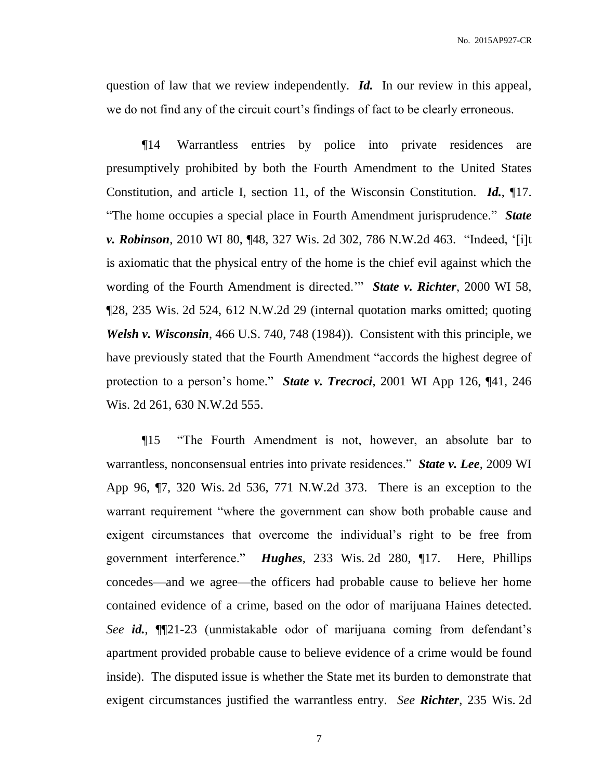question of law that we review independently. *Id.* In our review in this appeal, we do not find any of the circuit court's findings of fact to be clearly erroneous.

¶14 Warrantless entries by police into private residences are presumptively prohibited by both the Fourth Amendment to the United States Constitution, and article I, section 11, of the Wisconsin Constitution. *Id.*, ¶17. "The home occupies a special place in Fourth Amendment jurisprudence." *State v. Robinson*, 2010 WI 80, ¶48, 327 Wis. 2d 302, 786 N.W.2d 463. "Indeed, '[i]t is axiomatic that the physical entry of the home is the chief evil against which the wording of the Fourth Amendment is directed.'" *State v. Richter*, 2000 WI 58, ¶28, 235 Wis. 2d 524, 612 N.W.2d 29 (internal quotation marks omitted; quoting *Welsh v. Wisconsin*, 466 U.S. 740, 748 (1984)). Consistent with this principle, we have previously stated that the Fourth Amendment "accords the highest degree of protection to a person's home." *State v. Trecroci*, 2001 WI App 126, ¶41, 246 Wis. 2d 261, 630 N.W.2d 555.

¶15 "The Fourth Amendment is not, however, an absolute bar to warrantless, nonconsensual entries into private residences." *State v. Lee*, 2009 WI App 96, ¶7, 320 Wis. 2d 536, 771 N.W.2d 373. There is an exception to the warrant requirement "where the government can show both probable cause and exigent circumstances that overcome the individual's right to be free from government interference." *Hughes*, 233 Wis. 2d 280, ¶17. Here, Phillips concedes—and we agree—the officers had probable cause to believe her home contained evidence of a crime, based on the odor of marijuana Haines detected. *See id.*, ¶¶21-23 (unmistakable odor of marijuana coming from defendant's apartment provided probable cause to believe evidence of a crime would be found inside). The disputed issue is whether the State met its burden to demonstrate that exigent circumstances justified the warrantless entry. *See Richter*, 235 Wis. 2d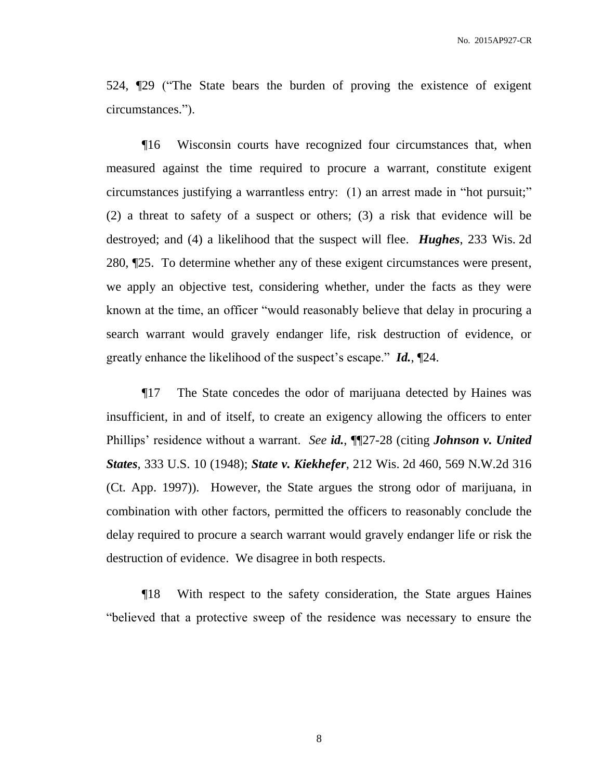524, ¶29 ("The State bears the burden of proving the existence of exigent circumstances.").

¶16 Wisconsin courts have recognized four circumstances that, when measured against the time required to procure a warrant, constitute exigent circumstances justifying a warrantless entry: (1) an arrest made in "hot pursuit;" (2) a threat to safety of a suspect or others; (3) a risk that evidence will be destroyed; and (4) a likelihood that the suspect will flee. *Hughes*, 233 Wis. 2d 280, ¶25. To determine whether any of these exigent circumstances were present, we apply an objective test, considering whether, under the facts as they were known at the time, an officer "would reasonably believe that delay in procuring a search warrant would gravely endanger life, risk destruction of evidence, or greatly enhance the likelihood of the suspect's escape." *Id.*, ¶24.

¶17 The State concedes the odor of marijuana detected by Haines was insufficient, in and of itself, to create an exigency allowing the officers to enter Phillips' residence without a warrant. *See id.*, ¶¶27-28 (citing *Johnson v. United States*, 333 U.S. 10 (1948); *State v. Kiekhefer*, 212 Wis. 2d 460, 569 N.W.2d 316 (Ct. App. 1997)). However, the State argues the strong odor of marijuana, in combination with other factors, permitted the officers to reasonably conclude the delay required to procure a search warrant would gravely endanger life or risk the destruction of evidence. We disagree in both respects.

¶18 With respect to the safety consideration, the State argues Haines "believed that a protective sweep of the residence was necessary to ensure the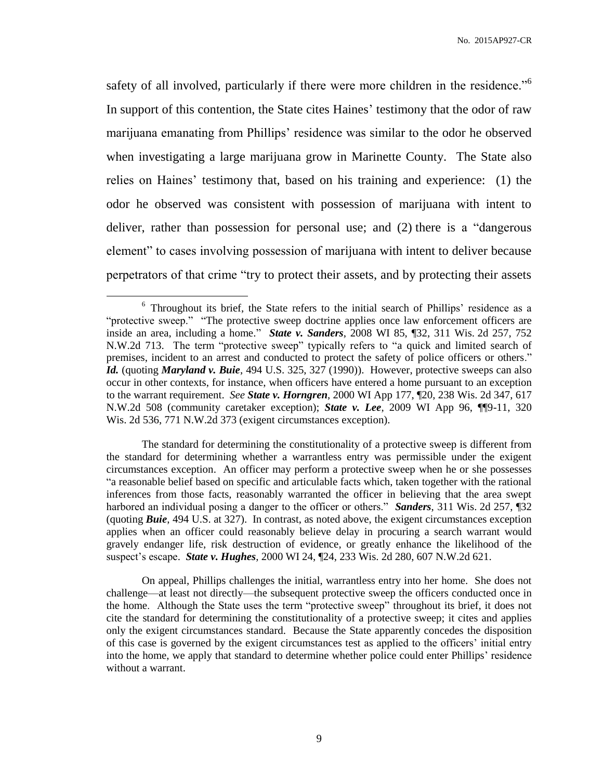safety of all involved, particularly if there were more children in the residence."<sup>6</sup> In support of this contention, the State cites Haines' testimony that the odor of raw marijuana emanating from Phillips' residence was similar to the odor he observed when investigating a large marijuana grow in Marinette County. The State also relies on Haines' testimony that, based on his training and experience: (1) the odor he observed was consistent with possession of marijuana with intent to deliver, rather than possession for personal use; and (2) there is a "dangerous element" to cases involving possession of marijuana with intent to deliver because perpetrators of that crime "try to protect their assets, and by protecting their assets

 $\overline{a}$ 

The standard for determining the constitutionality of a protective sweep is different from the standard for determining whether a warrantless entry was permissible under the exigent circumstances exception. An officer may perform a protective sweep when he or she possesses "a reasonable belief based on specific and articulable facts which, taken together with the rational inferences from those facts, reasonably warranted the officer in believing that the area swept harbored an individual posing a danger to the officer or others." *Sanders*, 311 Wis. 2d 257, ¶32 (quoting *Buie*, 494 U.S. at 327). In contrast, as noted above, the exigent circumstances exception applies when an officer could reasonably believe delay in procuring a search warrant would gravely endanger life, risk destruction of evidence, or greatly enhance the likelihood of the suspect's escape. *State v. Hughes*, 2000 WI 24, ¶24, 233 Wis. 2d 280, 607 N.W.2d 621.

On appeal, Phillips challenges the initial, warrantless entry into her home. She does not challenge—at least not directly—the subsequent protective sweep the officers conducted once in the home. Although the State uses the term "protective sweep" throughout its brief, it does not cite the standard for determining the constitutionality of a protective sweep; it cites and applies only the exigent circumstances standard. Because the State apparently concedes the disposition of this case is governed by the exigent circumstances test as applied to the officers' initial entry into the home, we apply that standard to determine whether police could enter Phillips' residence without a warrant.

<sup>&</sup>lt;sup>6</sup> Throughout its brief, the State refers to the initial search of Phillips' residence as a "protective sweep." "The protective sweep doctrine applies once law enforcement officers are inside an area, including a home." *State v. Sanders*, 2008 WI 85, ¶32, 311 Wis. 2d 257, 752 N.W.2d 713. The term "protective sweep" typically refers to "a quick and limited search of premises, incident to an arrest and conducted to protect the safety of police officers or others." *Id.* (quoting *Maryland v. Buie*, 494 U.S. 325, 327 (1990)). However, protective sweeps can also occur in other contexts, for instance, when officers have entered a home pursuant to an exception to the warrant requirement. *See State v. Horngren*, 2000 WI App 177, ¶20, 238 Wis. 2d 347, 617 N.W.2d 508 (community caretaker exception); *State v. Lee*, 2009 WI App 96, ¶¶9-11, 320 Wis. 2d 536, 771 N.W.2d 373 (exigent circumstances exception).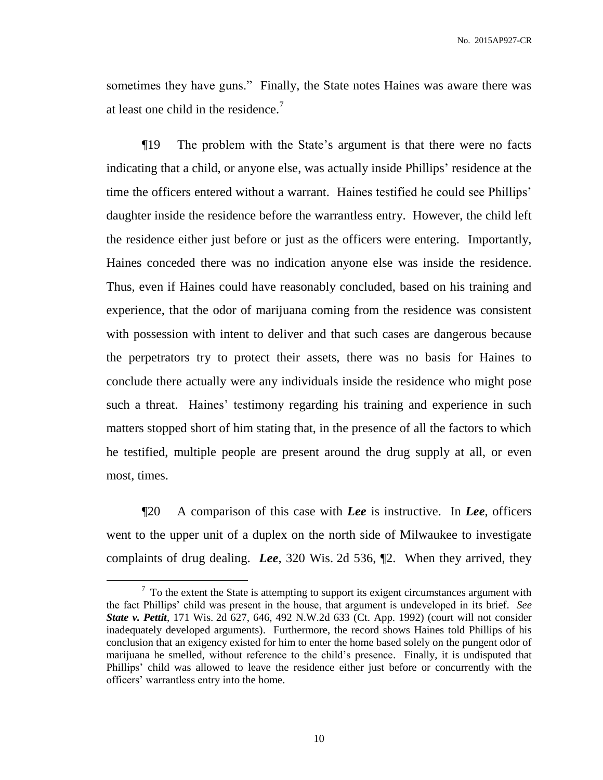sometimes they have guns." Finally, the State notes Haines was aware there was at least one child in the residence.<sup>7</sup>

¶19 The problem with the State's argument is that there were no facts indicating that a child, or anyone else, was actually inside Phillips' residence at the time the officers entered without a warrant. Haines testified he could see Phillips' daughter inside the residence before the warrantless entry. However, the child left the residence either just before or just as the officers were entering. Importantly, Haines conceded there was no indication anyone else was inside the residence. Thus, even if Haines could have reasonably concluded, based on his training and experience, that the odor of marijuana coming from the residence was consistent with possession with intent to deliver and that such cases are dangerous because the perpetrators try to protect their assets, there was no basis for Haines to conclude there actually were any individuals inside the residence who might pose such a threat. Haines' testimony regarding his training and experience in such matters stopped short of him stating that, in the presence of all the factors to which he testified, multiple people are present around the drug supply at all, or even most, times.

¶20 A comparison of this case with *Lee* is instructive. In *Lee*, officers went to the upper unit of a duplex on the north side of Milwaukee to investigate complaints of drug dealing. *Lee*, 320 Wis. 2d 536, ¶2. When they arrived, they

 $7$  To the extent the State is attempting to support its exigent circumstances argument with the fact Phillips' child was present in the house, that argument is undeveloped in its brief. *See State v. Pettit*, 171 Wis. 2d 627, 646, 492 N.W.2d 633 (Ct. App. 1992) (court will not consider inadequately developed arguments). Furthermore, the record shows Haines told Phillips of his conclusion that an exigency existed for him to enter the home based solely on the pungent odor of marijuana he smelled, without reference to the child's presence. Finally, it is undisputed that Phillips' child was allowed to leave the residence either just before or concurrently with the officers' warrantless entry into the home.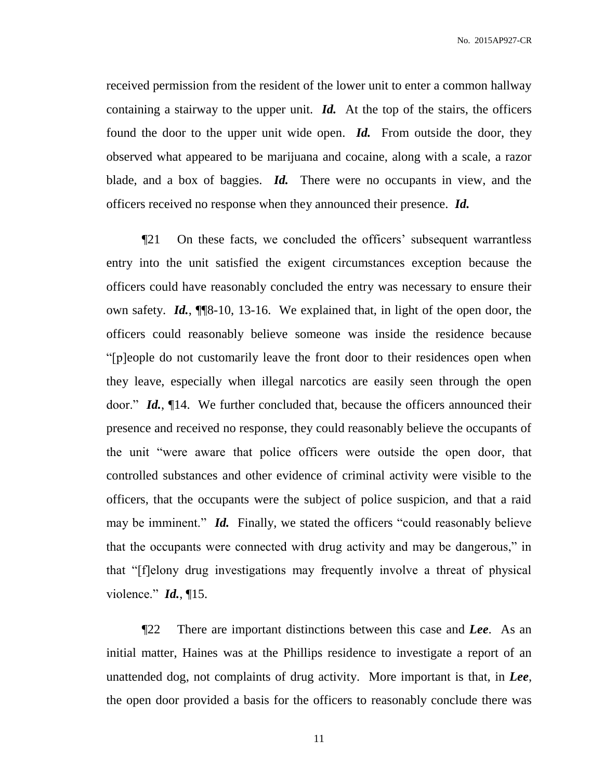received permission from the resident of the lower unit to enter a common hallway containing a stairway to the upper unit. *Id.* At the top of the stairs, the officers found the door to the upper unit wide open. *Id.* From outside the door, they observed what appeared to be marijuana and cocaine, along with a scale, a razor blade, and a box of baggies. *Id.* There were no occupants in view, and the officers received no response when they announced their presence. *Id.*

¶21 On these facts, we concluded the officers' subsequent warrantless entry into the unit satisfied the exigent circumstances exception because the officers could have reasonably concluded the entry was necessary to ensure their own safety. *Id.*, ¶¶8-10, 13-16. We explained that, in light of the open door, the officers could reasonably believe someone was inside the residence because "[p]eople do not customarily leave the front door to their residences open when they leave, especially when illegal narcotics are easily seen through the open door." *Id.*, ¶14. We further concluded that, because the officers announced their presence and received no response, they could reasonably believe the occupants of the unit "were aware that police officers were outside the open door, that controlled substances and other evidence of criminal activity were visible to the officers, that the occupants were the subject of police suspicion, and that a raid may be imminent." *Id.* Finally, we stated the officers "could reasonably believe that the occupants were connected with drug activity and may be dangerous," in that "[f]elony drug investigations may frequently involve a threat of physical violence." *Id.*, ¶15.

¶22 There are important distinctions between this case and *Lee*. As an initial matter, Haines was at the Phillips residence to investigate a report of an unattended dog, not complaints of drug activity. More important is that, in *Lee*, the open door provided a basis for the officers to reasonably conclude there was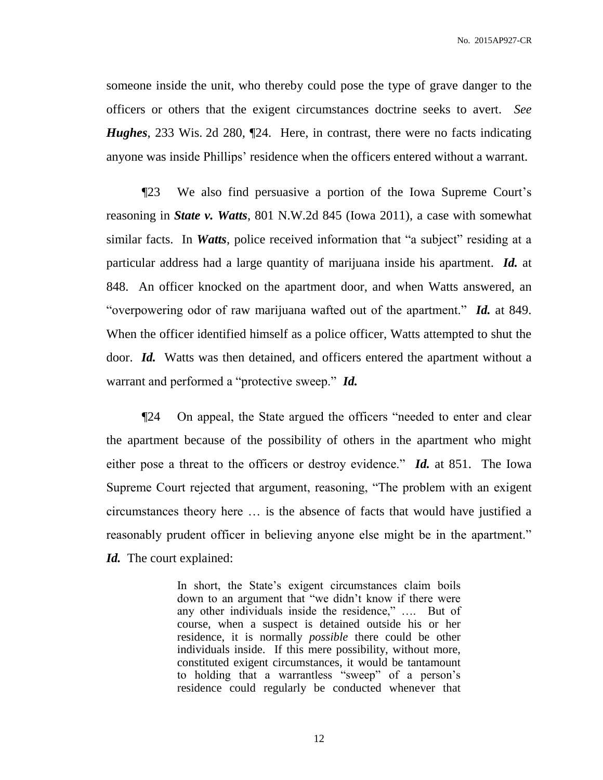someone inside the unit, who thereby could pose the type of grave danger to the officers or others that the exigent circumstances doctrine seeks to avert. *See Hughes*, 233 Wis. 2d 280, ¶24. Here, in contrast, there were no facts indicating anyone was inside Phillips' residence when the officers entered without a warrant.

¶23 We also find persuasive a portion of the Iowa Supreme Court's reasoning in *State v. Watts*, 801 N.W.2d 845 (Iowa 2011), a case with somewhat similar facts. In *Watts*, police received information that "a subject" residing at a particular address had a large quantity of marijuana inside his apartment. *Id.* at 848. An officer knocked on the apartment door, and when Watts answered, an "overpowering odor of raw marijuana wafted out of the apartment." *Id.* at 849. When the officer identified himself as a police officer, Watts attempted to shut the door. *Id.* Watts was then detained, and officers entered the apartment without a warrant and performed a "protective sweep." *Id.*

¶24 On appeal, the State argued the officers "needed to enter and clear the apartment because of the possibility of others in the apartment who might either pose a threat to the officers or destroy evidence." *Id.* at 851. The Iowa Supreme Court rejected that argument, reasoning, "The problem with an exigent circumstances theory here … is the absence of facts that would have justified a reasonably prudent officer in believing anyone else might be in the apartment." *Id.* The court explained:

> In short, the State's exigent circumstances claim boils down to an argument that "we didn't know if there were any other individuals inside the residence," …. But of course, when a suspect is detained outside his or her residence, it is normally *possible* there could be other individuals inside. If this mere possibility, without more, constituted exigent circumstances, it would be tantamount to holding that a warrantless "sweep" of a person's residence could regularly be conducted whenever that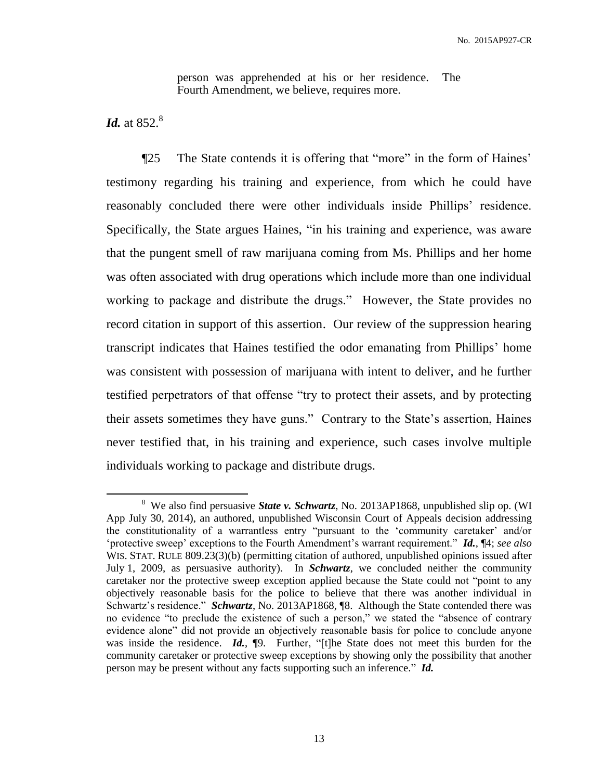person was apprehended at his or her residence. The Fourth Amendment, we believe, requires more.

*Id.* at 852.<sup>8</sup>

 $\overline{a}$ 

¶25 The State contends it is offering that "more" in the form of Haines' testimony regarding his training and experience, from which he could have reasonably concluded there were other individuals inside Phillips' residence. Specifically, the State argues Haines, "in his training and experience, was aware that the pungent smell of raw marijuana coming from Ms. Phillips and her home was often associated with drug operations which include more than one individual working to package and distribute the drugs." However, the State provides no record citation in support of this assertion. Our review of the suppression hearing transcript indicates that Haines testified the odor emanating from Phillips' home was consistent with possession of marijuana with intent to deliver, and he further testified perpetrators of that offense "try to protect their assets, and by protecting their assets sometimes they have guns." Contrary to the State's assertion, Haines never testified that, in his training and experience, such cases involve multiple individuals working to package and distribute drugs.

<sup>&</sup>lt;sup>8</sup> We also find persuasive *State v. Schwartz*, No. 2013AP1868, unpublished slip op. (WI App July 30, 2014), an authored, unpublished Wisconsin Court of Appeals decision addressing the constitutionality of a warrantless entry "pursuant to the 'community caretaker' and/or 'protective sweep' exceptions to the Fourth Amendment's warrant requirement." *Id.*, ¶4; *see also*  WIS. STAT. RULE 809.23(3)(b) (permitting citation of authored, unpublished opinions issued after July 1, 2009, as persuasive authority). In *Schwartz*, we concluded neither the community caretaker nor the protective sweep exception applied because the State could not "point to any objectively reasonable basis for the police to believe that there was another individual in Schwartz's residence." *Schwartz*, No. 2013AP1868, ¶8. Although the State contended there was no evidence "to preclude the existence of such a person," we stated the "absence of contrary evidence alone" did not provide an objectively reasonable basis for police to conclude anyone was inside the residence. **Id.**, **[9.** Further, "[t]he State does not meet this burden for the community caretaker or protective sweep exceptions by showing only the possibility that another person may be present without any facts supporting such an inference." *Id.*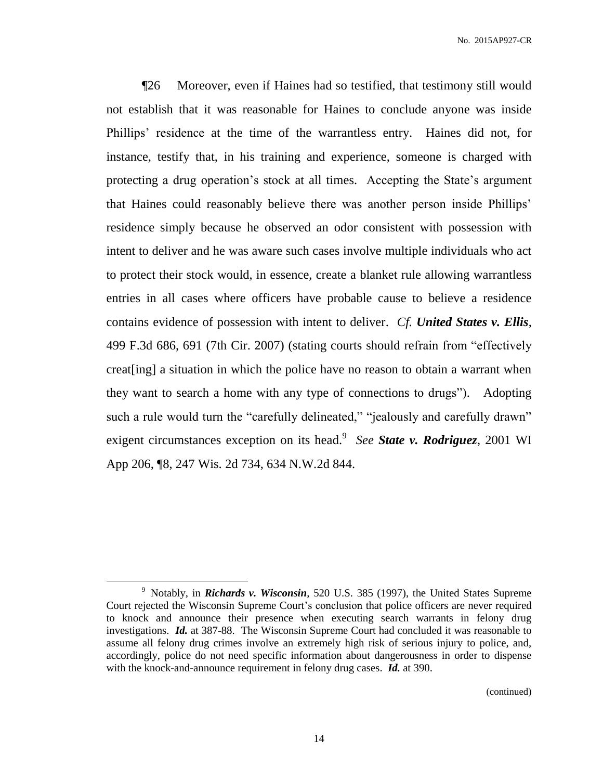¶26 Moreover, even if Haines had so testified, that testimony still would not establish that it was reasonable for Haines to conclude anyone was inside Phillips' residence at the time of the warrantless entry. Haines did not, for instance, testify that, in his training and experience, someone is charged with protecting a drug operation's stock at all times. Accepting the State's argument that Haines could reasonably believe there was another person inside Phillips' residence simply because he observed an odor consistent with possession with intent to deliver and he was aware such cases involve multiple individuals who act to protect their stock would, in essence, create a blanket rule allowing warrantless entries in all cases where officers have probable cause to believe a residence contains evidence of possession with intent to deliver. *Cf. United States v. Ellis*, 499 F.3d 686, 691 (7th Cir. 2007) (stating courts should refrain from "effectively creat[ing] a situation in which the police have no reason to obtain a warrant when they want to search a home with any type of connections to drugs"). Adopting such a rule would turn the "carefully delineated," "jealously and carefully drawn" exigent circumstances exception on its head.<sup>9</sup> See State v. Rodriguez, 2001 WI App 206, ¶8, 247 Wis. 2d 734, 634 N.W.2d 844.

 $\overline{a}$ 

(continued)

<sup>&</sup>lt;sup>9</sup> Notably, in *Richards v. Wisconsin*, 520 U.S. 385 (1997), the United States Supreme Court rejected the Wisconsin Supreme Court's conclusion that police officers are never required to knock and announce their presence when executing search warrants in felony drug investigations. *Id.* at 387-88. The Wisconsin Supreme Court had concluded it was reasonable to assume all felony drug crimes involve an extremely high risk of serious injury to police, and, accordingly, police do not need specific information about dangerousness in order to dispense with the knock-and-announce requirement in felony drug cases. *Id.* at 390.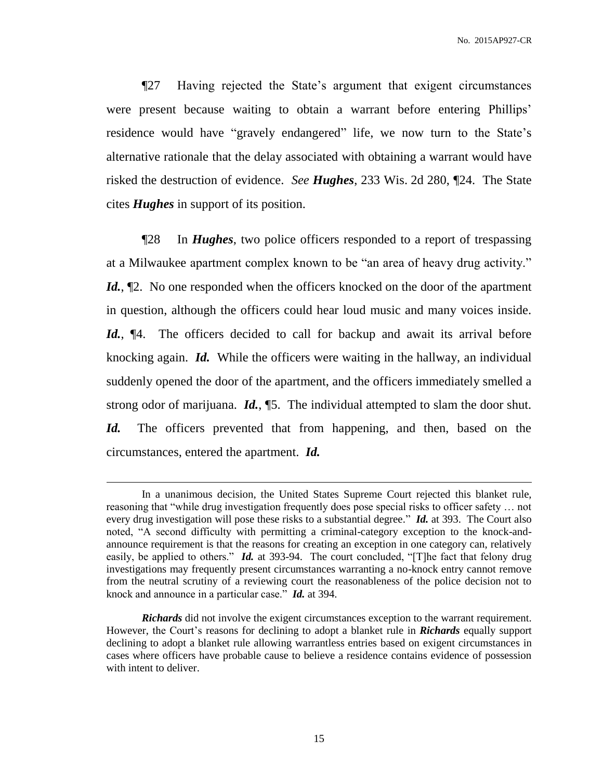¶27 Having rejected the State's argument that exigent circumstances were present because waiting to obtain a warrant before entering Phillips' residence would have "gravely endangered" life, we now turn to the State's alternative rationale that the delay associated with obtaining a warrant would have risked the destruction of evidence. *See Hughes*, 233 Wis. 2d 280, ¶24. The State cites *Hughes* in support of its position.

¶28 In *Hughes*, two police officers responded to a report of trespassing at a Milwaukee apartment complex known to be "an area of heavy drug activity." *Id.*,  $\mathbb{Z}$ . No one responded when the officers knocked on the door of the apartment in question, although the officers could hear loud music and many voices inside. Id.,  $\P$ 4. The officers decided to call for backup and await its arrival before knocking again. *Id.* While the officers were waiting in the hallway, an individual suddenly opened the door of the apartment, and the officers immediately smelled a strong odor of marijuana. *Id.*, ¶5. The individual attempted to slam the door shut. Id. The officers prevented that from happening, and then, based on the circumstances, entered the apartment. *Id.*

In a unanimous decision, the United States Supreme Court rejected this blanket rule, reasoning that "while drug investigation frequently does pose special risks to officer safety … not every drug investigation will pose these risks to a substantial degree." *Id.* at 393. The Court also noted, "A second difficulty with permitting a criminal-category exception to the knock-andannounce requirement is that the reasons for creating an exception in one category can, relatively easily, be applied to others." *Id.* at 393-94. The court concluded, "[T]he fact that felony drug investigations may frequently present circumstances warranting a no-knock entry cannot remove from the neutral scrutiny of a reviewing court the reasonableness of the police decision not to knock and announce in a particular case." *Id.* at 394.

*Richards* did not involve the exigent circumstances exception to the warrant requirement. However, the Court's reasons for declining to adopt a blanket rule in *Richards* equally support declining to adopt a blanket rule allowing warrantless entries based on exigent circumstances in cases where officers have probable cause to believe a residence contains evidence of possession with intent to deliver.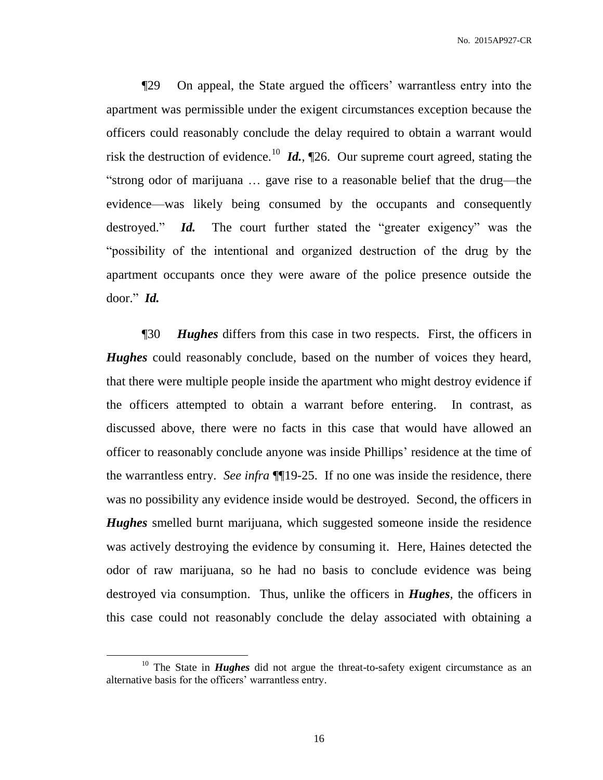¶29 On appeal, the State argued the officers' warrantless entry into the apartment was permissible under the exigent circumstances exception because the officers could reasonably conclude the delay required to obtain a warrant would risk the destruction of evidence.<sup>10</sup> *Id.*,  $\P$ 26. Our supreme court agreed, stating the "strong odor of marijuana … gave rise to a reasonable belief that the drug—the evidence—was likely being consumed by the occupants and consequently destroyed." *Id.* The court further stated the "greater exigency" was the "possibility of the intentional and organized destruction of the drug by the apartment occupants once they were aware of the police presence outside the door." *Id.*

¶30 *Hughes* differs from this case in two respects. First, the officers in *Hughes* could reasonably conclude, based on the number of voices they heard, that there were multiple people inside the apartment who might destroy evidence if the officers attempted to obtain a warrant before entering. In contrast, as discussed above, there were no facts in this case that would have allowed an officer to reasonably conclude anyone was inside Phillips' residence at the time of the warrantless entry. *See infra* ¶¶19-25. If no one was inside the residence, there was no possibility any evidence inside would be destroyed. Second, the officers in *Hughes* smelled burnt marijuana, which suggested someone inside the residence was actively destroying the evidence by consuming it. Here, Haines detected the odor of raw marijuana, so he had no basis to conclude evidence was being destroyed via consumption. Thus, unlike the officers in *Hughes*, the officers in this case could not reasonably conclude the delay associated with obtaining a

<sup>&</sup>lt;sup>10</sup> The State in *Hughes* did not argue the threat-to-safety exigent circumstance as an alternative basis for the officers' warrantless entry.